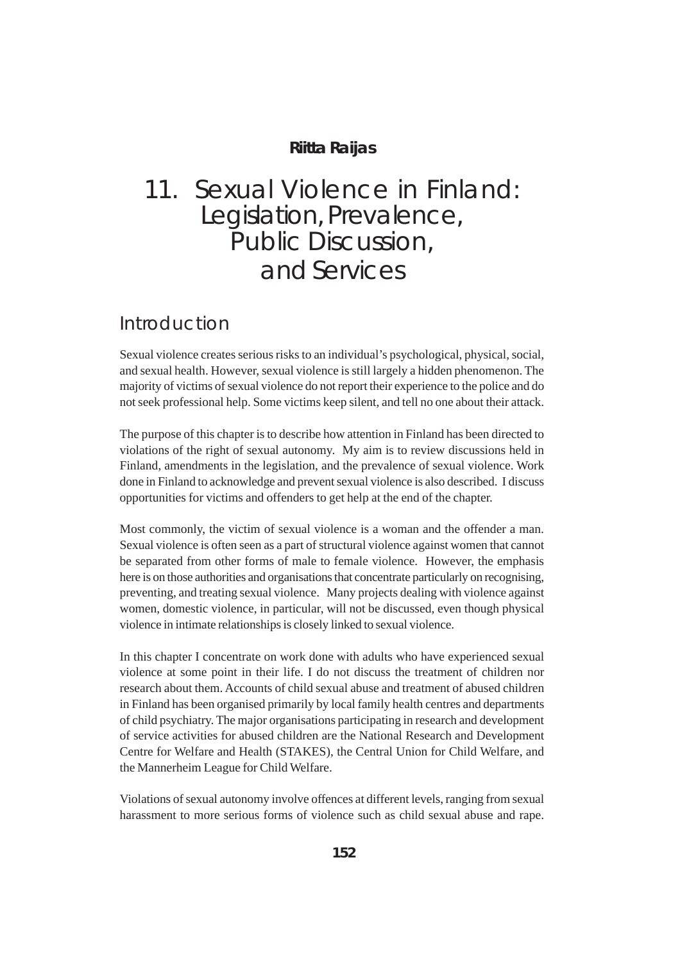#### **Riitta Raijas**

# 11. Sexual Violence in Finland: Legislation, Prevalence, Public Discussion, and Services

#### Introduction

Sexual violence creates serious risks to an individual's psychological, physical, social, and sexual health. However, sexual violence is still largely a hidden phenomenon. The majority of victims of sexual violence do not report their experience to the police and do not seek professional help. Some victims keep silent, and tell no one about their attack.

The purpose of this chapter is to describe how attention in Finland has been directed to violations of the right of sexual autonomy. My aim is to review discussions held in Finland, amendments in the legislation, and the prevalence of sexual violence. Work done in Finland to acknowledge and prevent sexual violence is also described. I discuss opportunities for victims and offenders to get help at the end of the chapter.

Most commonly, the victim of sexual violence is a woman and the offender a man. Sexual violence is often seen as a part of structural violence against women that cannot be separated from other forms of male to female violence. However, the emphasis here is on those authorities and organisations that concentrate particularly on recognising, preventing, and treating sexual violence. Many projects dealing with violence against women, domestic violence, in particular, will not be discussed, even though physical violence in intimate relationships is closely linked to sexual violence.

In this chapter I concentrate on work done with adults who have experienced sexual violence at some point in their life. I do not discuss the treatment of children nor research about them. Accounts of child sexual abuse and treatment of abused children in Finland has been organised primarily by local family health centres and departments of child psychiatry. The major organisations participating in research and development of service activities for abused children are the National Research and Development Centre for Welfare and Health (STAKES), the Central Union for Child Welfare, and the Mannerheim League for Child Welfare.

Violations of sexual autonomy involve offences at different levels, ranging from sexual harassment to more serious forms of violence such as child sexual abuse and rape.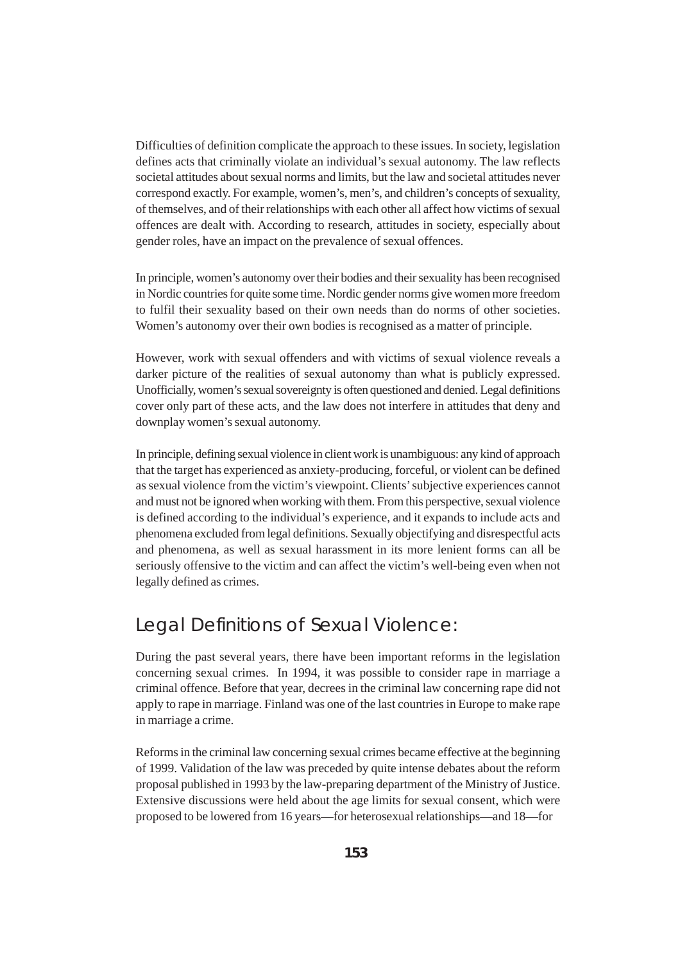Difficulties of definition complicate the approach to these issues. In society, legislation defines acts that criminally violate an individual's sexual autonomy. The law reflects societal attitudes about sexual norms and limits, but the law and societal attitudes never correspond exactly. For example, women's, men's, and children's concepts of sexuality, of themselves, and of their relationships with each other all affect how victims of sexual offences are dealt with. According to research, attitudes in society, especially about gender roles, have an impact on the prevalence of sexual offences.

In principle, women's autonomy over their bodies and their sexuality has been recognised in Nordic countries for quite some time. Nordic gender norms give women more freedom to fulfil their sexuality based on their own needs than do norms of other societies. Women's autonomy over their own bodies is recognised as a matter of principle.

However, work with sexual offenders and with victims of sexual violence reveals a darker picture of the realities of sexual autonomy than what is publicly expressed. Unofficially, women's sexual sovereignty is often questioned and denied. Legal definitions cover only part of these acts, and the law does not interfere in attitudes that deny and downplay women's sexual autonomy.

In principle, defining sexual violence in client work is unambiguous: any kind of approach that the target has experienced as anxiety-producing, forceful, or violent can be defined as sexual violence from the victim's viewpoint. Clients' subjective experiences cannot and must not be ignored when working with them. From this perspective, sexual violence is defined according to the individual's experience, and it expands to include acts and phenomena excluded from legal definitions. Sexually objectifying and disrespectful acts and phenomena, as well as sexual harassment in its more lenient forms can all be seriously offensive to the victim and can affect the victim's well-being even when not legally defined as crimes.

### Legal Definitions of Sexual Violence:

During the past several years, there have been important reforms in the legislation concerning sexual crimes. In 1994, it was possible to consider rape in marriage a criminal offence. Before that year, decrees in the criminal law concerning rape did not apply to rape in marriage. Finland was one of the last countries in Europe to make rape in marriage a crime.

Reforms in the criminal law concerning sexual crimes became effective at the beginning of 1999. Validation of the law was preceded by quite intense debates about the reform proposal published in 1993 by the law-preparing department of the Ministry of Justice. Extensive discussions were held about the age limits for sexual consent, which were proposed to be lowered from 16 years—for heterosexual relationships—and 18—for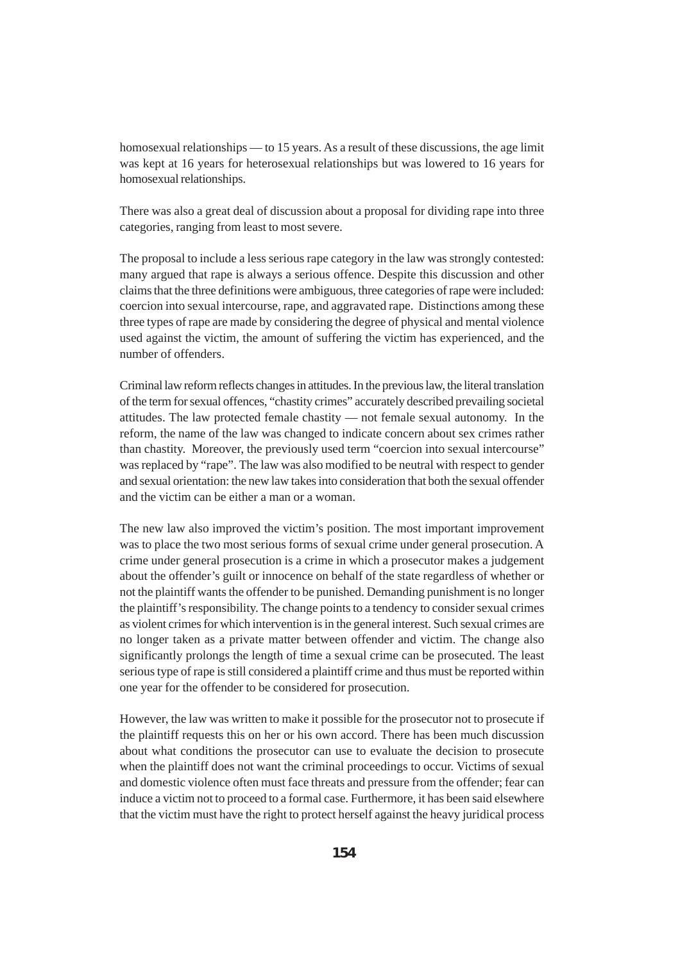homosexual relationships — to 15 years. As a result of these discussions, the age limit was kept at 16 years for heterosexual relationships but was lowered to 16 years for homosexual relationships.

There was also a great deal of discussion about a proposal for dividing rape into three categories, ranging from least to most severe.

The proposal to include a less serious rape category in the law was strongly contested: many argued that rape is always a serious offence. Despite this discussion and other claims that the three definitions were ambiguous, three categories of rape were included: coercion into sexual intercourse, rape, and aggravated rape. Distinctions among these three types of rape are made by considering the degree of physical and mental violence used against the victim, the amount of suffering the victim has experienced, and the number of offenders.

Criminal law reform reflects changes in attitudes. In the previous law, the literal translation of the term for sexual offences, "chastity crimes" accurately described prevailing societal attitudes. The law protected female chastity — not female sexual autonomy. In the reform, the name of the law was changed to indicate concern about sex crimes rather than chastity. Moreover, the previously used term "coercion into sexual intercourse" was replaced by "rape". The law was also modified to be neutral with respect to gender and sexual orientation: the new law takes into consideration that both the sexual offender and the victim can be either a man or a woman.

The new law also improved the victim's position. The most important improvement was to place the two most serious forms of sexual crime under general prosecution. A crime under general prosecution is a crime in which a prosecutor makes a judgement about the offender's guilt or innocence on behalf of the state regardless of whether or not the plaintiff wants the offender to be punished. Demanding punishment is no longer the plaintiff's responsibility. The change points to a tendency to consider sexual crimes as violent crimes for which intervention is in the general interest. Such sexual crimes are no longer taken as a private matter between offender and victim. The change also significantly prolongs the length of time a sexual crime can be prosecuted. The least serious type of rape is still considered a plaintiff crime and thus must be reported within one year for the offender to be considered for prosecution.

However, the law was written to make it possible for the prosecutor not to prosecute if the plaintiff requests this on her or his own accord. There has been much discussion about what conditions the prosecutor can use to evaluate the decision to prosecute when the plaintiff does not want the criminal proceedings to occur. Victims of sexual and domestic violence often must face threats and pressure from the offender; fear can induce a victim not to proceed to a formal case. Furthermore, it has been said elsewhere that the victim must have the right to protect herself against the heavy juridical process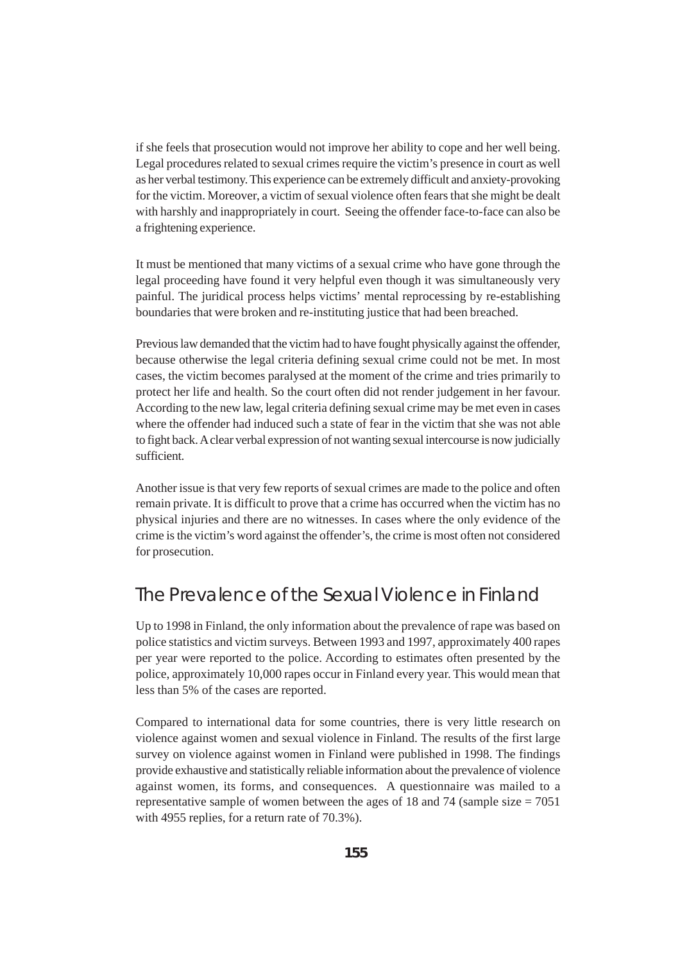if she feels that prosecution would not improve her ability to cope and her well being. Legal procedures related to sexual crimes require the victim's presence in court as well as her verbal testimony. This experience can be extremely difficult and anxiety-provoking for the victim. Moreover, a victim of sexual violence often fears that she might be dealt with harshly and inappropriately in court. Seeing the offender face-to-face can also be a frightening experience.

It must be mentioned that many victims of a sexual crime who have gone through the legal proceeding have found it very helpful even though it was simultaneously very painful. The juridical process helps victims' mental reprocessing by re-establishing boundaries that were broken and re-instituting justice that had been breached.

Previous law demanded that the victim had to have fought physically against the offender, because otherwise the legal criteria defining sexual crime could not be met. In most cases, the victim becomes paralysed at the moment of the crime and tries primarily to protect her life and health. So the court often did not render judgement in her favour. According to the new law, legal criteria defining sexual crime may be met even in cases where the offender had induced such a state of fear in the victim that she was not able to fight back. A clear verbal expression of not wanting sexual intercourse is now judicially sufficient.

Another issue is that very few reports of sexual crimes are made to the police and often remain private. It is difficult to prove that a crime has occurred when the victim has no physical injuries and there are no witnesses. In cases where the only evidence of the crime is the victim's word against the offender's, the crime is most often not considered for prosecution.

# The Prevalence of the Sexual Violence in Finland

Up to 1998 in Finland, the only information about the prevalence of rape was based on police statistics and victim surveys. Between 1993 and 1997, approximately 400 rapes per year were reported to the police. According to estimates often presented by the police, approximately 10,000 rapes occur in Finland every year. This would mean that less than 5% of the cases are reported.

Compared to international data for some countries, there is very little research on violence against women and sexual violence in Finland. The results of the first large survey on violence against women in Finland were published in 1998. The findings provide exhaustive and statistically reliable information about the prevalence of violence against women, its forms, and consequences. A questionnaire was mailed to a representative sample of women between the ages of 18 and 74 (sample size  $= 7051$ ) with 4955 replies, for a return rate of 70.3%).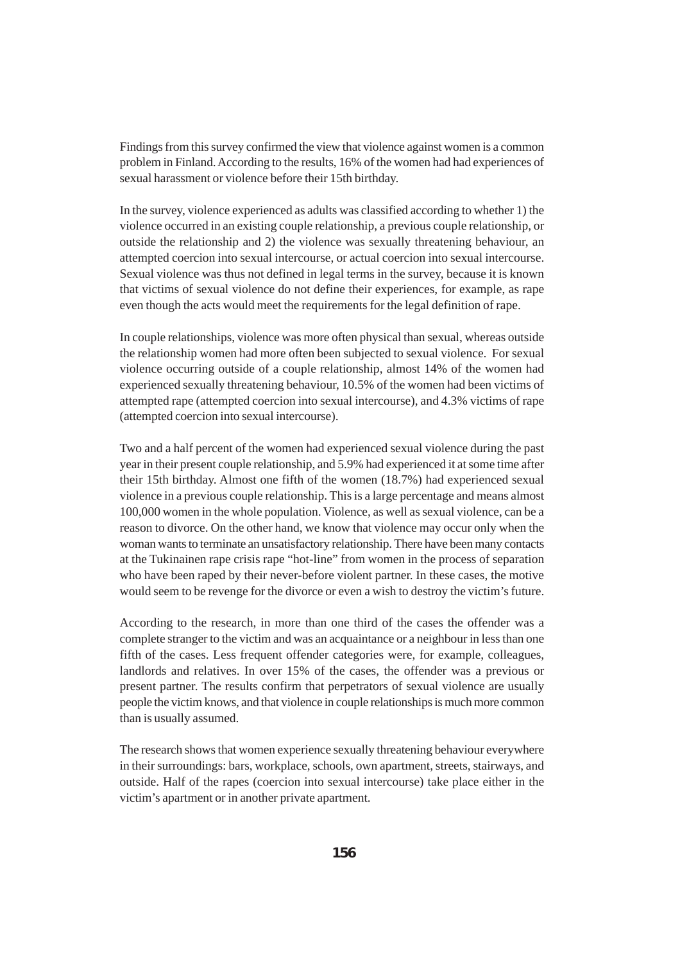Findings from this survey confirmed the view that violence against women is a common problem in Finland. According to the results, 16% of the women had had experiences of sexual harassment or violence before their 15th birthday.

In the survey, violence experienced as adults was classified according to whether 1) the violence occurred in an existing couple relationship, a previous couple relationship, or outside the relationship and 2) the violence was sexually threatening behaviour, an attempted coercion into sexual intercourse, or actual coercion into sexual intercourse. Sexual violence was thus not defined in legal terms in the survey, because it is known that victims of sexual violence do not define their experiences, for example, as rape even though the acts would meet the requirements for the legal definition of rape.

In couple relationships, violence was more often physical than sexual, whereas outside the relationship women had more often been subjected to sexual violence. For sexual violence occurring outside of a couple relationship, almost 14% of the women had experienced sexually threatening behaviour, 10.5% of the women had been victims of attempted rape (attempted coercion into sexual intercourse), and 4.3% victims of rape (attempted coercion into sexual intercourse).

Two and a half percent of the women had experienced sexual violence during the past year in their present couple relationship, and 5.9% had experienced it at some time after their 15th birthday. Almost one fifth of the women (18.7%) had experienced sexual violence in a previous couple relationship. This is a large percentage and means almost 100,000 women in the whole population. Violence, as well as sexual violence, can be a reason to divorce. On the other hand, we know that violence may occur only when the woman wants to terminate an unsatisfactory relationship. There have been many contacts at the Tukinainen rape crisis rape "hot-line" from women in the process of separation who have been raped by their never-before violent partner. In these cases, the motive would seem to be revenge for the divorce or even a wish to destroy the victim's future.

According to the research, in more than one third of the cases the offender was a complete stranger to the victim and was an acquaintance or a neighbour in less than one fifth of the cases. Less frequent offender categories were, for example, colleagues, landlords and relatives. In over 15% of the cases, the offender was a previous or present partner. The results confirm that perpetrators of sexual violence are usually people the victim knows, and that violence in couple relationships is much more common than is usually assumed.

The research shows that women experience sexually threatening behaviour everywhere in their surroundings: bars, workplace, schools, own apartment, streets, stairways, and outside. Half of the rapes (coercion into sexual intercourse) take place either in the victim's apartment or in another private apartment.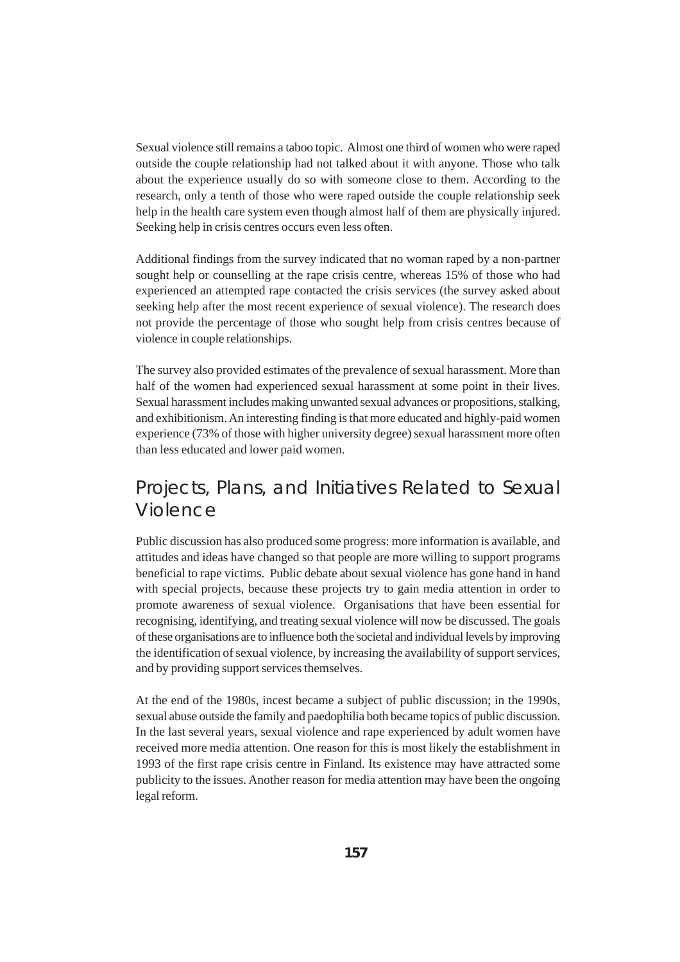Sexual violence still remains a taboo topic. Almost one third of women who were raped outside the couple relationship had not talked about it with anyone. Those who talk about the experience usually do so with someone close to them. According to the research, only a tenth of those who were raped outside the couple relationship seek help in the health care system even though almost half of them are physically injured. Seeking help in crisis centres occurs even less often.

Additional findings from the survey indicated that no woman raped by a non-partner sought help or counselling at the rape crisis centre, whereas 15% of those who had experienced an attempted rape contacted the crisis services (the survey asked about seeking help after the most recent experience of sexual violence). The research does not provide the percentage of those who sought help from crisis centres because of violence in couple relationships.

The survey also provided estimates of the prevalence of sexual harassment. More than half of the women had experienced sexual harassment at some point in their lives. Sexual harassment includes making unwanted sexual advances or propositions, stalking, and exhibitionism. An interesting finding is that more educated and highly-paid women experience (73% of those with higher university degree) sexual harassment more often than less educated and lower paid women.

# Projects, Plans, and Initiatives Related to Sexual Violence

Public discussion has also produced some progress: more information is available, and attitudes and ideas have changed so that people are more willing to support programs beneficial to rape victims. Public debate about sexual violence has gone hand in hand with special projects, because these projects try to gain media attention in order to promote awareness of sexual violence. Organisations that have been essential for recognising, identifying, and treating sexual violence will now be discussed. The goals of these organisations are to influence both the societal and individual levels by improving the identification of sexual violence, by increasing the availability of support services, and by providing support services themselves.

At the end of the 1980s, incest became a subject of public discussion; in the 1990s, sexual abuse outside the family and paedophilia both became topics of public discussion. In the last several years, sexual violence and rape experienced by adult women have received more media attention. One reason for this is most likely the establishment in 1993 of the first rape crisis centre in Finland. Its existence may have attracted some publicity to the issues. Another reason for media attention may have been the ongoing legal reform.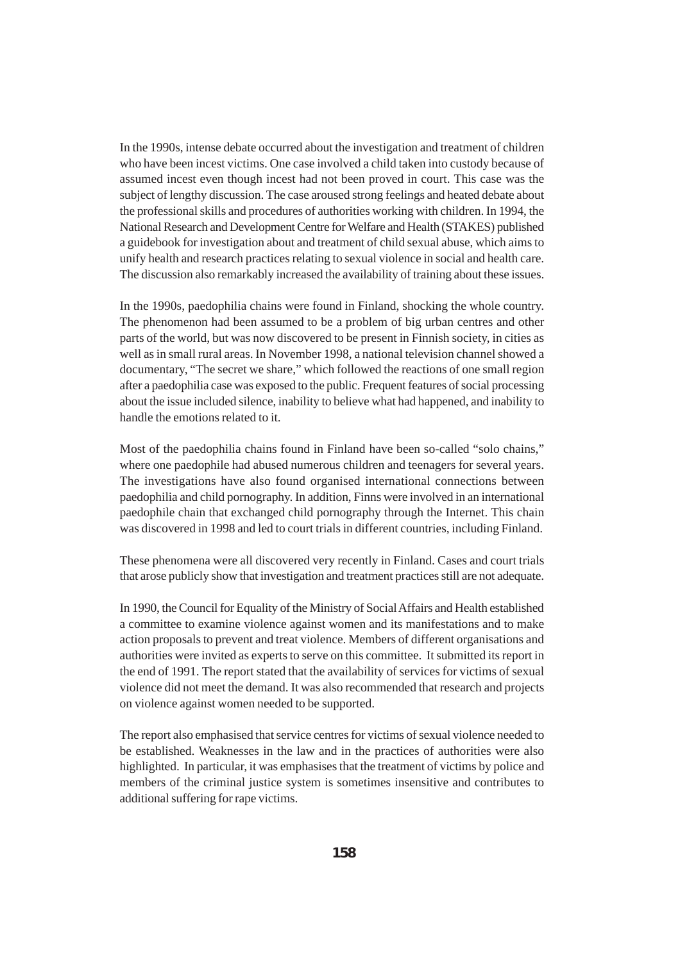In the 1990s, intense debate occurred about the investigation and treatment of children who have been incest victims. One case involved a child taken into custody because of assumed incest even though incest had not been proved in court. This case was the subject of lengthy discussion. The case aroused strong feelings and heated debate about the professional skills and procedures of authorities working with children. In 1994, the National Research and Development Centre for Welfare and Health (STAKES) published a guidebook for investigation about and treatment of child sexual abuse, which aims to unify health and research practices relating to sexual violence in social and health care. The discussion also remarkably increased the availability of training about these issues.

In the 1990s, paedophilia chains were found in Finland, shocking the whole country. The phenomenon had been assumed to be a problem of big urban centres and other parts of the world, but was now discovered to be present in Finnish society, in cities as well as in small rural areas. In November 1998, a national television channel showed a documentary, "The secret we share," which followed the reactions of one small region after a paedophilia case was exposed to the public. Frequent features of social processing about the issue included silence, inability to believe what had happened, and inability to handle the emotions related to it.

Most of the paedophilia chains found in Finland have been so-called "solo chains," where one paedophile had abused numerous children and teenagers for several years. The investigations have also found organised international connections between paedophilia and child pornography. In addition, Finns were involved in an international paedophile chain that exchanged child pornography through the Internet. This chain was discovered in 1998 and led to court trials in different countries, including Finland.

These phenomena were all discovered very recently in Finland. Cases and court trials that arose publicly show that investigation and treatment practices still are not adequate.

In 1990, the Council for Equality of the Ministry of Social Affairs and Health established a committee to examine violence against women and its manifestations and to make action proposals to prevent and treat violence. Members of different organisations and authorities were invited as experts to serve on this committee. It submitted its report in the end of 1991. The report stated that the availability of services for victims of sexual violence did not meet the demand. It was also recommended that research and projects on violence against women needed to be supported.

The report also emphasised that service centres for victims of sexual violence needed to be established. Weaknesses in the law and in the practices of authorities were also highlighted. In particular, it was emphasises that the treatment of victims by police and members of the criminal justice system is sometimes insensitive and contributes to additional suffering for rape victims.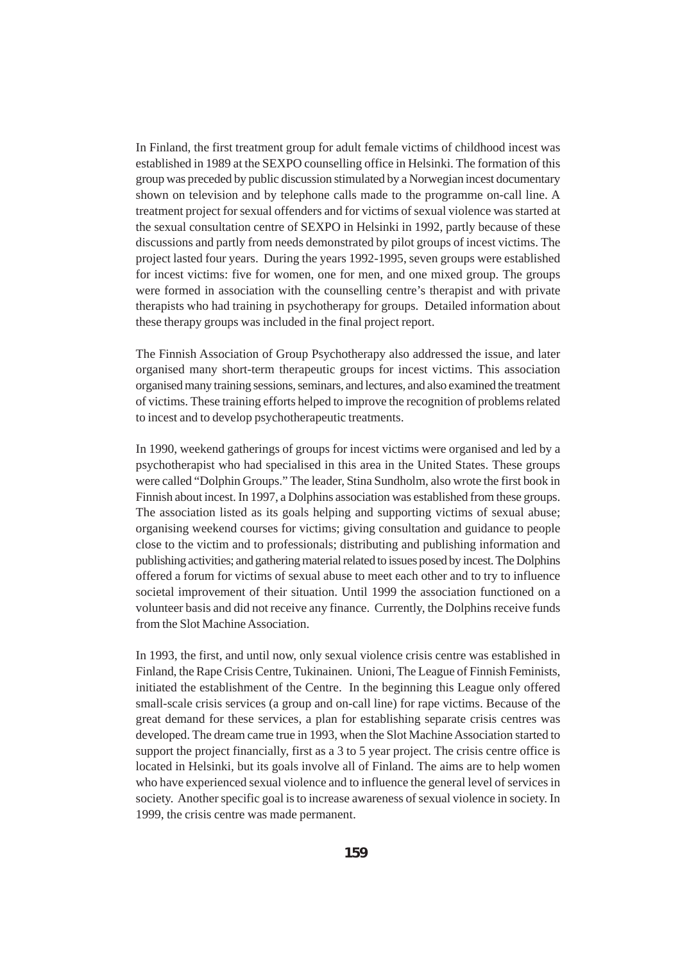In Finland, the first treatment group for adult female victims of childhood incest was established in 1989 at the SEXPO counselling office in Helsinki. The formation of this group was preceded by public discussion stimulated by a Norwegian incest documentary shown on television and by telephone calls made to the programme on-call line. A treatment project for sexual offenders and for victims of sexual violence was started at the sexual consultation centre of SEXPO in Helsinki in 1992, partly because of these discussions and partly from needs demonstrated by pilot groups of incest victims. The project lasted four years. During the years 1992-1995, seven groups were established for incest victims: five for women, one for men, and one mixed group. The groups were formed in association with the counselling centre's therapist and with private therapists who had training in psychotherapy for groups. Detailed information about these therapy groups was included in the final project report.

The Finnish Association of Group Psychotherapy also addressed the issue, and later organised many short-term therapeutic groups for incest victims. This association organised many training sessions, seminars, and lectures, and also examined the treatment of victims. These training efforts helped to improve the recognition of problems related to incest and to develop psychotherapeutic treatments.

In 1990, weekend gatherings of groups for incest victims were organised and led by a psychotherapist who had specialised in this area in the United States. These groups were called "Dolphin Groups." The leader, Stina Sundholm, also wrote the first book in Finnish about incest. In 1997, a Dolphins association was established from these groups. The association listed as its goals helping and supporting victims of sexual abuse; organising weekend courses for victims; giving consultation and guidance to people close to the victim and to professionals; distributing and publishing information and publishing activities; and gathering material related to issues posed by incest. The Dolphins offered a forum for victims of sexual abuse to meet each other and to try to influence societal improvement of their situation. Until 1999 the association functioned on a volunteer basis and did not receive any finance. Currently, the Dolphins receive funds from the Slot Machine Association.

In 1993, the first, and until now, only sexual violence crisis centre was established in Finland, the Rape Crisis Centre, Tukinainen. Unioni, The League of Finnish Feminists, initiated the establishment of the Centre. In the beginning this League only offered small-scale crisis services (a group and on-call line) for rape victims. Because of the great demand for these services, a plan for establishing separate crisis centres was developed. The dream came true in 1993, when the Slot Machine Association started to support the project financially, first as a 3 to 5 year project. The crisis centre office is located in Helsinki, but its goals involve all of Finland. The aims are to help women who have experienced sexual violence and to influence the general level of services in society. Another specific goal is to increase awareness of sexual violence in society. In 1999, the crisis centre was made permanent.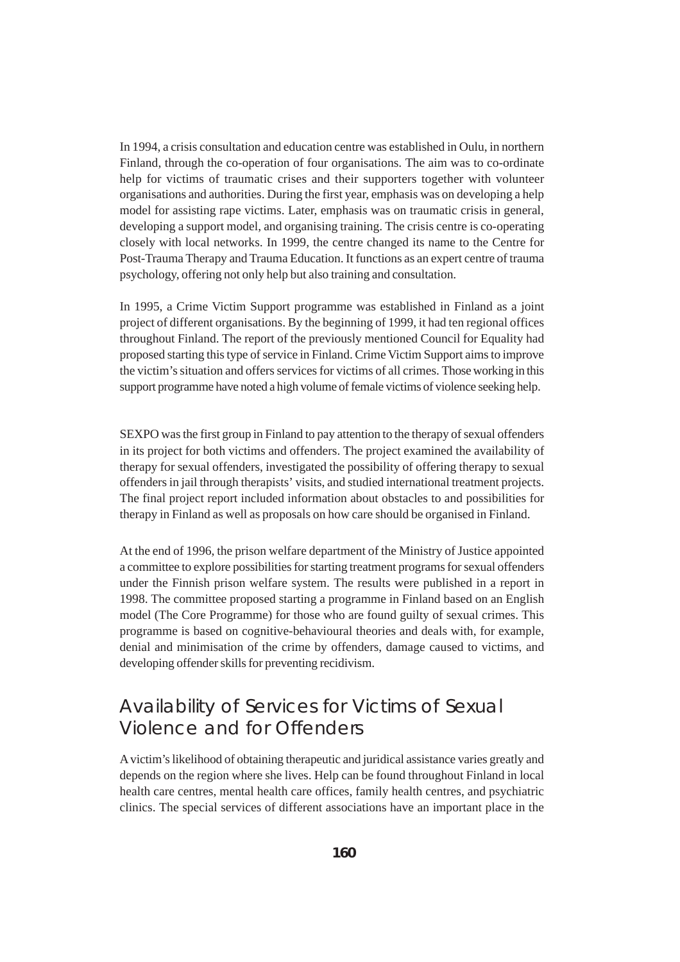In 1994, a crisis consultation and education centre was established in Oulu, in northern Finland, through the co-operation of four organisations. The aim was to co-ordinate help for victims of traumatic crises and their supporters together with volunteer organisations and authorities. During the first year, emphasis was on developing a help model for assisting rape victims. Later, emphasis was on traumatic crisis in general, developing a support model, and organising training. The crisis centre is co-operating closely with local networks. In 1999, the centre changed its name to the Centre for Post-Trauma Therapy and Trauma Education. It functions as an expert centre of trauma psychology, offering not only help but also training and consultation.

In 1995, a Crime Victim Support programme was established in Finland as a joint project of different organisations. By the beginning of 1999, it had ten regional offices throughout Finland. The report of the previously mentioned Council for Equality had proposed starting this type of service in Finland. Crime Victim Support aims to improve the victim's situation and offers services for victims of all crimes. Those working in this support programme have noted a high volume of female victims of violence seeking help.

SEXPO was the first group in Finland to pay attention to the therapy of sexual offenders in its project for both victims and offenders. The project examined the availability of therapy for sexual offenders, investigated the possibility of offering therapy to sexual offenders in jail through therapists' visits, and studied international treatment projects. The final project report included information about obstacles to and possibilities for therapy in Finland as well as proposals on how care should be organised in Finland.

At the end of 1996, the prison welfare department of the Ministry of Justice appointed a committee to explore possibilities for starting treatment programs for sexual offenders under the Finnish prison welfare system. The results were published in a report in 1998. The committee proposed starting a programme in Finland based on an English model (The Core Programme) for those who are found guilty of sexual crimes. This programme is based on cognitive-behavioural theories and deals with, for example, denial and minimisation of the crime by offenders, damage caused to victims, and developing offender skills for preventing recidivism.

# Availability of Services for Victims of Sexual Violence and for Offenders

A victim's likelihood of obtaining therapeutic and juridical assistance varies greatly and depends on the region where she lives. Help can be found throughout Finland in local health care centres, mental health care offices, family health centres, and psychiatric clinics. The special services of different associations have an important place in the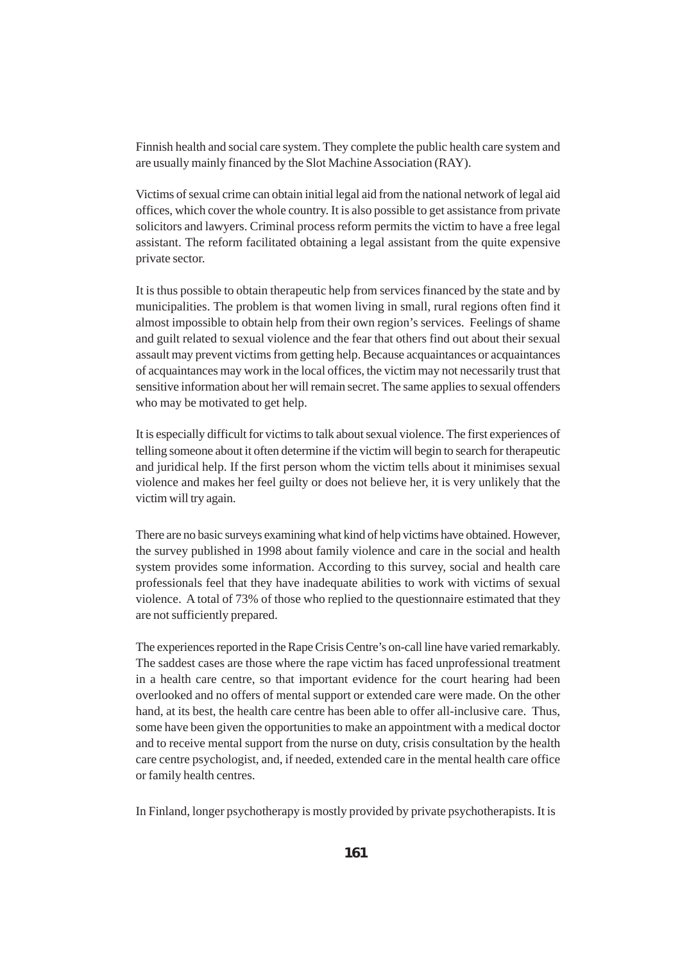Finnish health and social care system. They complete the public health care system and are usually mainly financed by the Slot Machine Association (RAY).

Victims of sexual crime can obtain initial legal aid from the national network of legal aid offices, which cover the whole country. It is also possible to get assistance from private solicitors and lawyers. Criminal process reform permits the victim to have a free legal assistant. The reform facilitated obtaining a legal assistant from the quite expensive private sector.

It is thus possible to obtain therapeutic help from services financed by the state and by municipalities. The problem is that women living in small, rural regions often find it almost impossible to obtain help from their own region's services. Feelings of shame and guilt related to sexual violence and the fear that others find out about their sexual assault may prevent victims from getting help. Because acquaintances or acquaintances of acquaintances may work in the local offices, the victim may not necessarily trust that sensitive information about her will remain secret. The same applies to sexual offenders who may be motivated to get help.

It is especially difficult for victims to talk about sexual violence. The first experiences of telling someone about it often determine if the victim will begin to search for therapeutic and juridical help. If the first person whom the victim tells about it minimises sexual violence and makes her feel guilty or does not believe her, it is very unlikely that the victim will try again.

There are no basic surveys examining what kind of help victims have obtained. However, the survey published in 1998 about family violence and care in the social and health system provides some information. According to this survey, social and health care professionals feel that they have inadequate abilities to work with victims of sexual violence. A total of 73% of those who replied to the questionnaire estimated that they are not sufficiently prepared.

The experiences reported in the Rape Crisis Centre's on-call line have varied remarkably. The saddest cases are those where the rape victim has faced unprofessional treatment in a health care centre, so that important evidence for the court hearing had been overlooked and no offers of mental support or extended care were made. On the other hand, at its best, the health care centre has been able to offer all-inclusive care. Thus, some have been given the opportunities to make an appointment with a medical doctor and to receive mental support from the nurse on duty, crisis consultation by the health care centre psychologist, and, if needed, extended care in the mental health care office or family health centres.

In Finland, longer psychotherapy is mostly provided by private psychotherapists. It is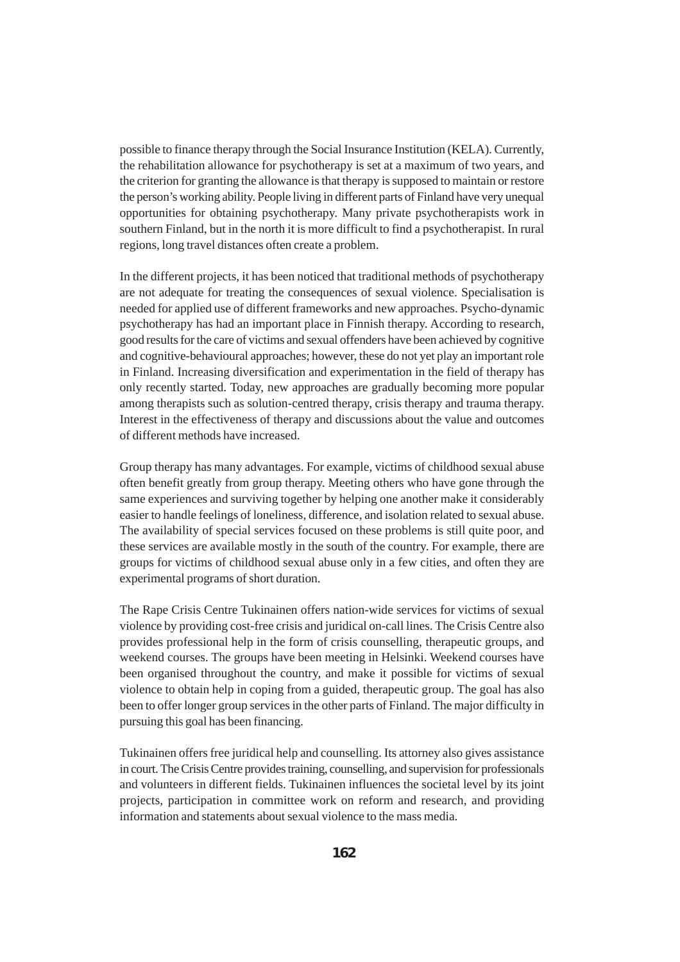possible to finance therapy through the Social Insurance Institution (KELA). Currently, the rehabilitation allowance for psychotherapy is set at a maximum of two years, and the criterion for granting the allowance is that therapy is supposed to maintain or restore the person's working ability. People living in different parts of Finland have very unequal opportunities for obtaining psychotherapy. Many private psychotherapists work in southern Finland, but in the north it is more difficult to find a psychotherapist. In rural regions, long travel distances often create a problem.

In the different projects, it has been noticed that traditional methods of psychotherapy are not adequate for treating the consequences of sexual violence. Specialisation is needed for applied use of different frameworks and new approaches. Psycho-dynamic psychotherapy has had an important place in Finnish therapy. According to research, good results for the care of victims and sexual offenders have been achieved by cognitive and cognitive-behavioural approaches; however, these do not yet play an important role in Finland. Increasing diversification and experimentation in the field of therapy has only recently started. Today, new approaches are gradually becoming more popular among therapists such as solution-centred therapy, crisis therapy and trauma therapy. Interest in the effectiveness of therapy and discussions about the value and outcomes of different methods have increased.

Group therapy has many advantages. For example, victims of childhood sexual abuse often benefit greatly from group therapy. Meeting others who have gone through the same experiences and surviving together by helping one another make it considerably easier to handle feelings of loneliness, difference, and isolation related to sexual abuse. The availability of special services focused on these problems is still quite poor, and these services are available mostly in the south of the country. For example, there are groups for victims of childhood sexual abuse only in a few cities, and often they are experimental programs of short duration.

The Rape Crisis Centre Tukinainen offers nation-wide services for victims of sexual violence by providing cost-free crisis and juridical on-call lines. The Crisis Centre also provides professional help in the form of crisis counselling, therapeutic groups, and weekend courses. The groups have been meeting in Helsinki. Weekend courses have been organised throughout the country, and make it possible for victims of sexual violence to obtain help in coping from a guided, therapeutic group. The goal has also been to offer longer group services in the other parts of Finland. The major difficulty in pursuing this goal has been financing.

Tukinainen offers free juridical help and counselling. Its attorney also gives assistance in court. The Crisis Centre provides training, counselling, and supervision for professionals and volunteers in different fields. Tukinainen influences the societal level by its joint projects, participation in committee work on reform and research, and providing information and statements about sexual violence to the mass media.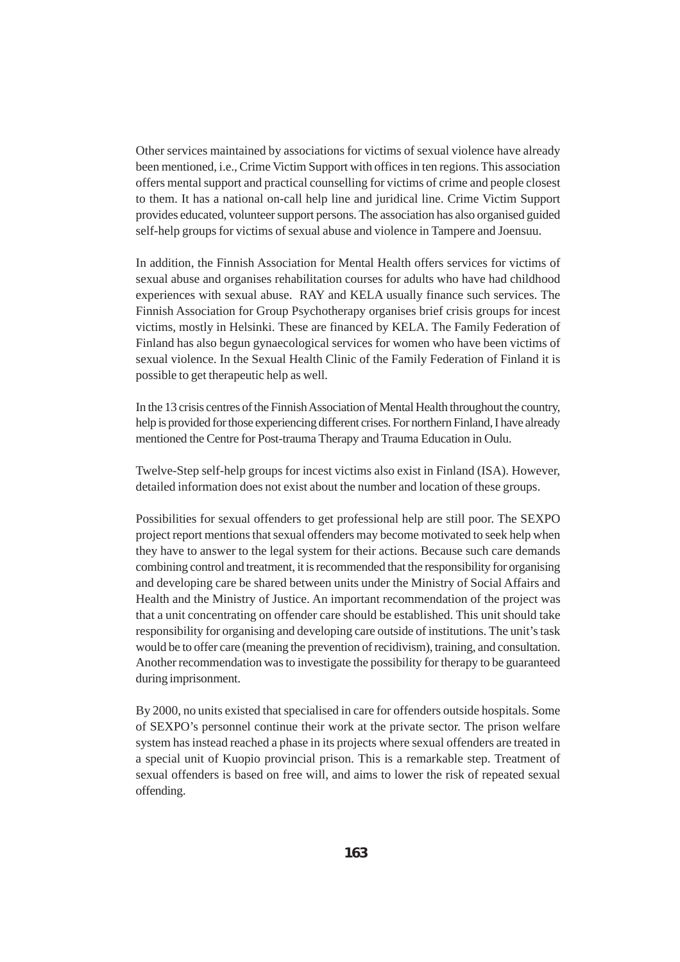Other services maintained by associations for victims of sexual violence have already been mentioned, i.e., Crime Victim Support with offices in ten regions. This association offers mental support and practical counselling for victims of crime and people closest to them. It has a national on-call help line and juridical line. Crime Victim Support provides educated, volunteer support persons. The association has also organised guided self-help groups for victims of sexual abuse and violence in Tampere and Joensuu.

In addition, the Finnish Association for Mental Health offers services for victims of sexual abuse and organises rehabilitation courses for adults who have had childhood experiences with sexual abuse. RAY and KELA usually finance such services. The Finnish Association for Group Psychotherapy organises brief crisis groups for incest victims, mostly in Helsinki. These are financed by KELA. The Family Federation of Finland has also begun gynaecological services for women who have been victims of sexual violence. In the Sexual Health Clinic of the Family Federation of Finland it is possible to get therapeutic help as well.

In the 13 crisis centres of the Finnish Association of Mental Health throughout the country, help is provided for those experiencing different crises. For northern Finland, I have already mentioned the Centre for Post-trauma Therapy and Trauma Education in Oulu.

Twelve-Step self-help groups for incest victims also exist in Finland (ISA). However, detailed information does not exist about the number and location of these groups.

Possibilities for sexual offenders to get professional help are still poor. The SEXPO project report mentions that sexual offenders may become motivated to seek help when they have to answer to the legal system for their actions. Because such care demands combining control and treatment, it is recommended that the responsibility for organising and developing care be shared between units under the Ministry of Social Affairs and Health and the Ministry of Justice. An important recommendation of the project was that a unit concentrating on offender care should be established. This unit should take responsibility for organising and developing care outside of institutions. The unit's task would be to offer care (meaning the prevention of recidivism), training, and consultation. Another recommendation was to investigate the possibility for therapy to be guaranteed during imprisonment.

By 2000, no units existed that specialised in care for offenders outside hospitals. Some of SEXPO's personnel continue their work at the private sector. The prison welfare system has instead reached a phase in its projects where sexual offenders are treated in a special unit of Kuopio provincial prison. This is a remarkable step. Treatment of sexual offenders is based on free will, and aims to lower the risk of repeated sexual offending.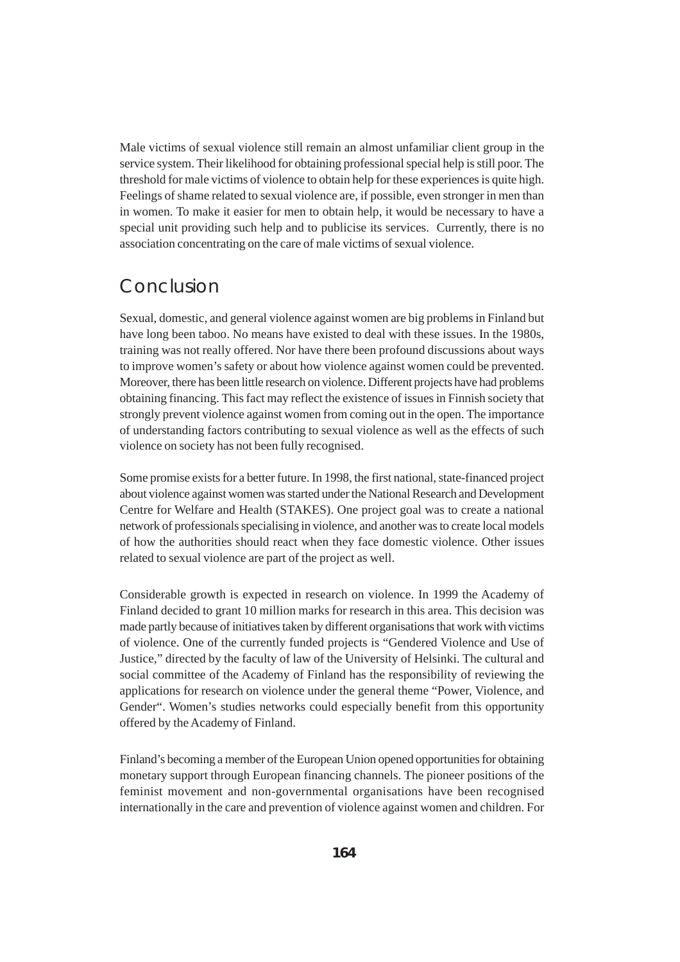Male victims of sexual violence still remain an almost unfamiliar client group in the service system. Their likelihood for obtaining professional special help is still poor. The threshold for male victims of violence to obtain help for these experiences is quite high. Feelings of shame related to sexual violence are, if possible, even stronger in men than in women. To make it easier for men to obtain help, it would be necessary to have a special unit providing such help and to publicise its services. Currently, there is no association concentrating on the care of male victims of sexual violence.

#### Conclusion

Sexual, domestic, and general violence against women are big problems in Finland but have long been taboo. No means have existed to deal with these issues. In the 1980s, training was not really offered. Nor have there been profound discussions about ways to improve women's safety or about how violence against women could be prevented. Moreover, there has been little research on violence. Different projects have had problems obtaining financing. This fact may reflect the existence of issues in Finnish society that strongly prevent violence against women from coming out in the open. The importance of understanding factors contributing to sexual violence as well as the effects of such violence on society has not been fully recognised.

Some promise exists for a better future. In 1998, the first national, state-financed project about violence against women was started under the National Research and Development Centre for Welfare and Health (STAKES). One project goal was to create a national network of professionals specialising in violence, and another was to create local models of how the authorities should react when they face domestic violence. Other issues related to sexual violence are part of the project as well.

Considerable growth is expected in research on violence. In 1999 the Academy of Finland decided to grant 10 million marks for research in this area. This decision was made partly because of initiatives taken by different organisations that work with victims of violence. One of the currently funded projects is "Gendered Violence and Use of Justice," directed by the faculty of law of the University of Helsinki. The cultural and social committee of the Academy of Finland has the responsibility of reviewing the applications for research on violence under the general theme "Power, Violence, and Gender". Women's studies networks could especially benefit from this opportunity offered by the Academy of Finland.

Finland's becoming a member of the European Union opened opportunities for obtaining monetary support through European financing channels. The pioneer positions of the feminist movement and non-governmental organisations have been recognised internationally in the care and prevention of violence against women and children. For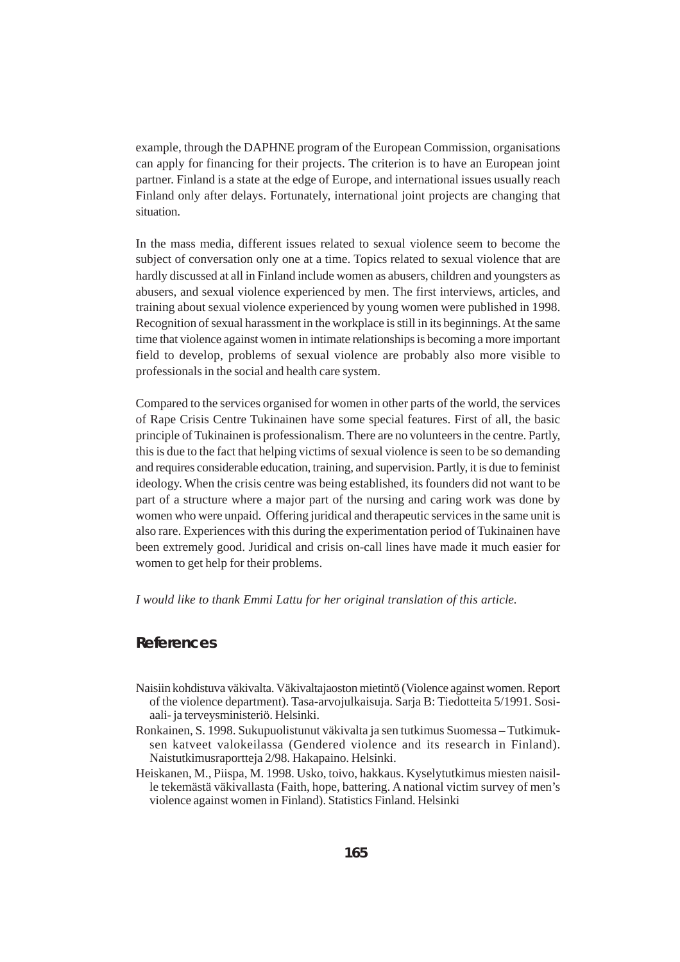example, through the DAPHNE program of the European Commission, organisations can apply for financing for their projects. The criterion is to have an European joint partner. Finland is a state at the edge of Europe, and international issues usually reach Finland only after delays. Fortunately, international joint projects are changing that situation.

In the mass media, different issues related to sexual violence seem to become the subject of conversation only one at a time. Topics related to sexual violence that are hardly discussed at all in Finland include women as abusers, children and youngsters as abusers, and sexual violence experienced by men. The first interviews, articles, and training about sexual violence experienced by young women were published in 1998. Recognition of sexual harassment in the workplace is still in its beginnings. At the same time that violence against women in intimate relationships is becoming a more important field to develop, problems of sexual violence are probably also more visible to professionals in the social and health care system.

Compared to the services organised for women in other parts of the world, the services of Rape Crisis Centre Tukinainen have some special features. First of all, the basic principle of Tukinainen is professionalism. There are no volunteers in the centre. Partly, this is due to the fact that helping victims of sexual violence is seen to be so demanding and requires considerable education, training, and supervision. Partly, it is due to feminist ideology. When the crisis centre was being established, its founders did not want to be part of a structure where a major part of the nursing and caring work was done by women who were unpaid. Offering juridical and therapeutic services in the same unit is also rare. Experiences with this during the experimentation period of Tukinainen have been extremely good. Juridical and crisis on-call lines have made it much easier for women to get help for their problems.

*I would like to thank Emmi Lattu for her original translation of this article.*

#### **References**

- Naisiin kohdistuva väkivalta. Väkivaltajaoston mietintö (Violence against women. Report of the violence department). Tasa-arvojulkaisuja. Sarja B: Tiedotteita 5/1991. Sosiaali- ja terveysministeriö. Helsinki.
- Ronkainen, S. 1998. Sukupuolistunut väkivalta ja sen tutkimus Suomessa Tutkimuksen katveet valokeilassa (Gendered violence and its research in Finland). Naistutkimusraportteja 2/98. Hakapaino. Helsinki.
- Heiskanen, M., Piispa, M. 1998. Usko, toivo, hakkaus. Kyselytutkimus miesten naisille tekemästä väkivallasta (Faith, hope, battering. A national victim survey of men's violence against women in Finland). Statistics Finland. Helsinki